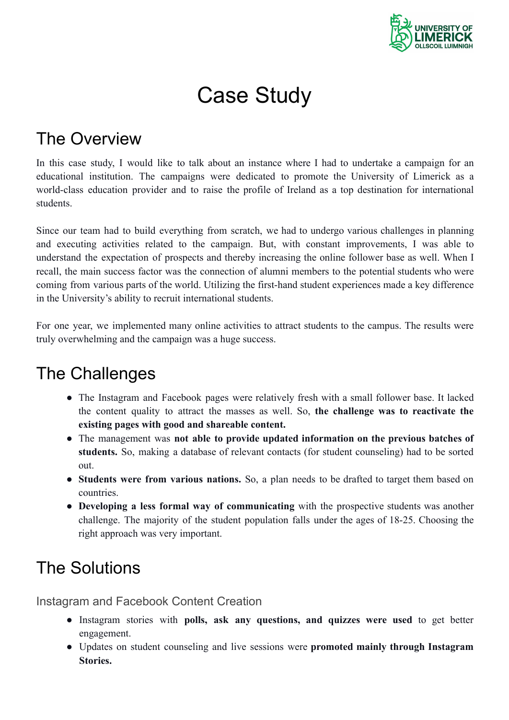

# Case Study

## The Overview

In this case study, I would like to talk about an instance where I had to undertake a campaign for an educational institution. The campaigns were dedicated to promote the University of Limerick as a world-class education provider and to raise the profile of Ireland as a top destination for international students.

Since our team had to build everything from scratch, we had to undergo various challenges in planning and executing activities related to the campaign. But, with constant improvements, I was able to understand the expectation of prospects and thereby increasing the online follower base as well. When I recall, the main success factor was the connection of alumni members to the potential students who were coming from various parts of the world. Utilizing the first-hand student experiences made a key difference in the University's ability to recruit international students.

For one year, we implemented many online activities to attract students to the campus. The results were truly overwhelming and the campaign was a huge success.

### The Challenges

- The Instagram and Facebook pages were relatively fresh with a small follower base. It lacked the content quality to attract the masses as well. So, **the challenge was to reactivate the existing pages with good and shareable content.**
- The management was **not able to provide updated information on the previous batches of students.** So, making a database of relevant contacts (for student counseling) had to be sorted out.
- **Students were from various nations.** So, a plan needs to be drafted to target them based on countries.
- **Developing a less formal way of communicating** with the prospective students was another challenge. The majority of the student population falls under the ages of 18-25. Choosing the right approach was very important.

## The Solutions

Instagram and Facebook Content Creation

- Instagram stories with **polls, ask any questions, and quizzes were used** to get better engagement.
- Updates on student counseling and live sessions were **promoted mainly through Instagram Stories.**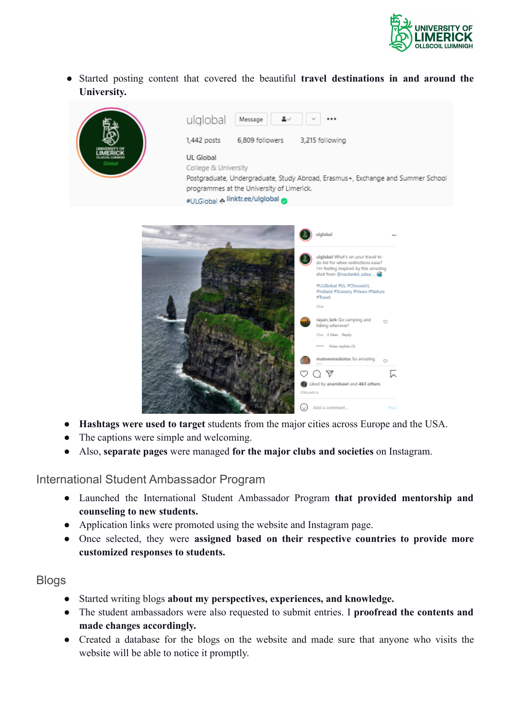

● Started posting content that covered the beautiful **travel destinations in and around the University.**



- **Hashtags were used to target** students from the major cities across Europe and the USA.
- The captions were simple and welcoming.
- Also, **separate pages** were managed **for the major clubs and societies** on Instagram.

International Student Ambassador Program

- Launched the International Student Ambassador Program **that provided mentorship and counseling to new students.**
- Application links were promoted using the website and Instagram page.
- Once selected, they were **assigned based on their respective countries to provide more customized responses to students.**

#### Blogs

- Started writing blogs **about my perspectives, experiences, and knowledge.**
- The student ambassadors were also requested to submit entries. I **proofread the contents and made changes accordingly.**
- Created a database for the blogs on the website and made sure that anyone who visits the website will be able to notice it promptly.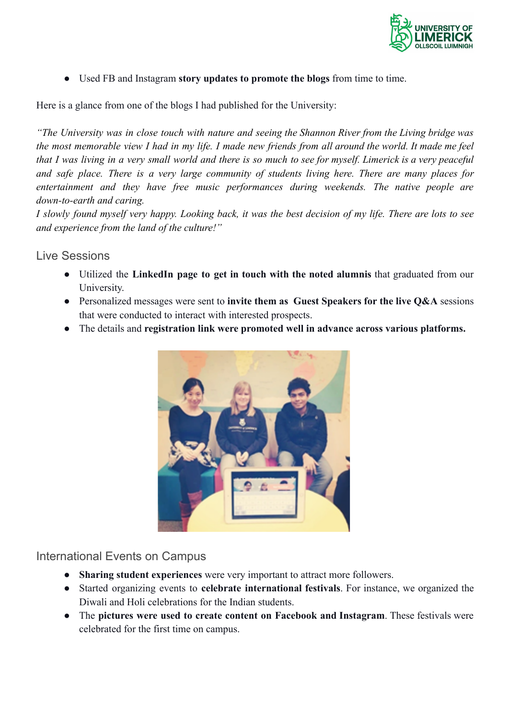

● Used FB and Instagram **story updates to promote the blogs** from time to time.

Here is a glance from one of the blogs I had published for the University:

"The University was in close touch with nature and seeing the Shannon River from the Living bridge was the most memorable view I had in my life. I made new friends from all around the world. It made me feel that I was living in a very small world and there is so much to see for myself. Limerick is a very peaceful *and safe place. There is a very large community of students living here. There are many places for entertainment and they have free music performances during weekends. The native people are down-to-earth and caring.*

I slowly found myself very happy. Looking back, it was the best decision of my life. There are lots to see *and experience from the land of the culture!"*

#### Live Sessions

- Utilized the **LinkedIn page to get in touch with the noted alumnis** that graduated from our University.
- Personalized messages were sent to **invite them as Guest Speakers for the live Q&A** sessions that were conducted to interact with interested prospects.
- The details and **registration link were promoted well in advance across various platforms.**



#### International Events on Campus

- **Sharing student experiences** were very important to attract more followers.
- Started organizing events to **celebrate international festivals**. For instance, we organized the Diwali and Holi celebrations for the Indian students.
- The **pictures were used to create content on Facebook and Instagram**. These festivals were celebrated for the first time on campus.